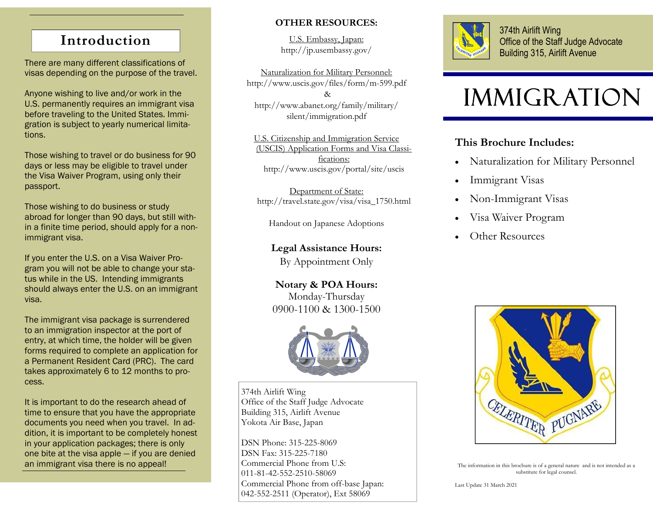# **Introduction**

There are many different classifications of visas depending on the purpose of the travel.

Anyone wishing to live and/or work in the U.S. permanently requires an immigrant visa before traveling to the United States. Immigration is subject to yearly numerical limitations.

Those wishing to travel or do business for 90 days or less may be eligible to travel under the Visa Waiver Program, using only their passport.

Those wishing to do business or study abroad for longer than 90 days, but still within a finite time period, should apply for a nonimmigrant visa.

If you enter the U.S. on a Visa Waiver Program you will not be able to change your status while in the US. Intending immigrants should always enter the U.S. on an immigrant visa.

The immigrant visa package is surrendered to an immigration inspector at the port of entry, at which time, the holder will be given forms required to complete an application for a Permanent Resident Card (PRC). The card takes approximately 6 to 12 months to process.

It is important to do the research ahead of time to ensure that you have the appropriate documents you need when you travel. In addition, it is important to be completely honest in your application packages; there is only one bite at the visa apple — if you are denied an immigrant visa there is no appeal!

## **OTHER RESOURCES:**

U.S. Embassy, Japan: http://jp.usembassy.gov/

Naturalization for Military Personnel: http://www.uscis.gov/files/form/m-599.pdf & http://www.abanet.org/family/military/ silent/immigration.pdf

U.S. Citizenship and Immigration Service (USCIS) Application Forms and Visa Classifications: http://www.uscis.gov/portal/site/uscis

Department of State: http://travel.state.gov/visa/visa\_1750.html

Handout on Japanese Adoptions

**Legal Assistance Hours:** 

By Appointment Only

**Notary & POA Hours:**  Monday-Thursday 0900-1100 & 1300-1500



374th Airlift Wing Office of the Staff Judge Advocate Building 315, Airlift Avenue Yokota Air Base, Japan

DSN Phone: 315-225-8069 DSN Fax: 315-225-7180 Commercial Phone from U.S: 011-81-42-552-2510-58069 Commercial Phone from off-base Japan: 042-552-2511 (Operator), Ext 58069



374th Airlift Wing Office of the Staff Judge Advocate Building 315, Airlift Avenue

# **IMMIGRATION**

## **This Brochure Includes:**

- $\bullet$ Naturalization for Military Personnel
- $\bullet$ Immigrant Visas
- $\bullet$ Non-Immigrant Visas
- $\bullet$ Visa Waiver Program
- $\bullet$ Other Resources



The information in this brochure is of a general nature and is not intended as a substitute for legal counsel.